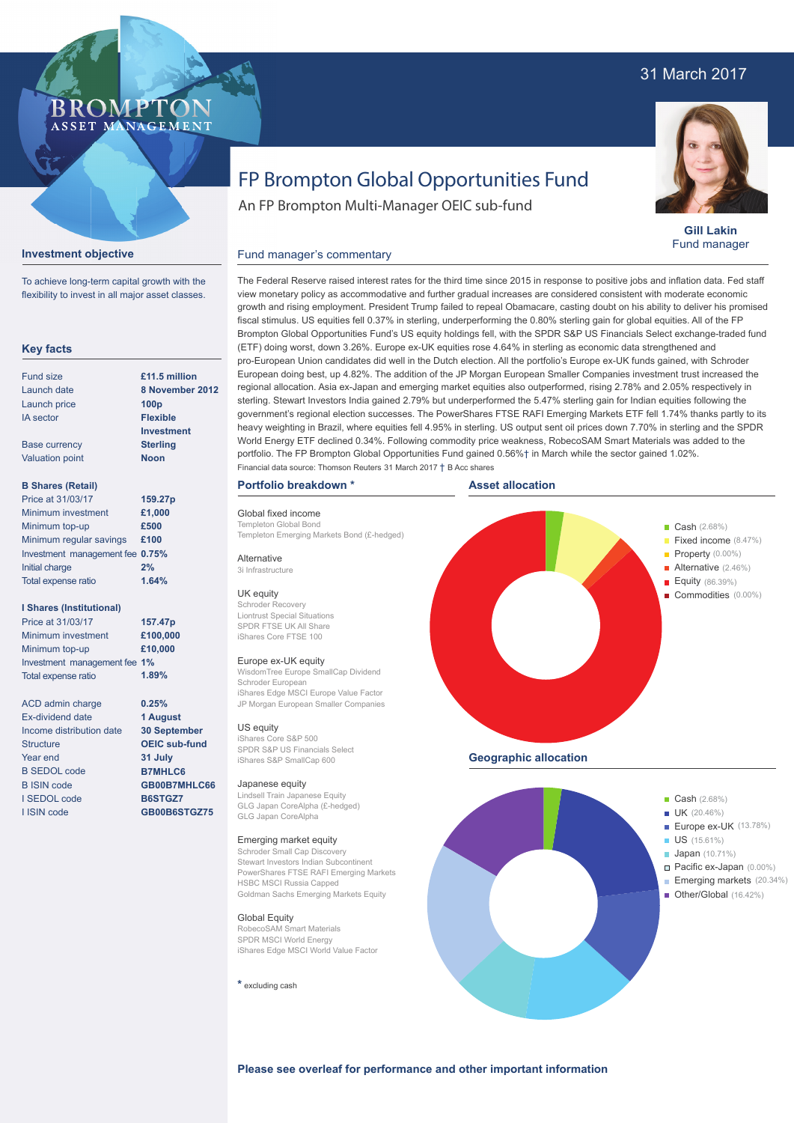## 31 March 2017



**Gill Lakin** Fund manager

# FP Brompton Global Opportunities Fund

An FP Brompton Multi-Manager OEIC sub-fund

#### **Investment objective**

**BROMP** 

ASSET MANAGEMENT

To achieve long-term capital growth with the flexibility to invest in all major asset classes.

#### **Key facts**

| Fund size              | £11.5 million     |
|------------------------|-------------------|
| Launch date            | 8 November 20     |
| Launch price           | 100 <sub>p</sub>  |
| <b>IA</b> sector       | <b>Flexible</b>   |
|                        | <b>Investment</b> |
| <b>Base currency</b>   | <b>Sterling</b>   |
| <b>Valuation point</b> | <b>Noon</b>       |
|                        |                   |
|                        |                   |

#### **B Shares (Retail)**

| Price at 31/03/17               | 159.27p |
|---------------------------------|---------|
| Minimum investment              | £1,000  |
| Minimum top-up                  | £500    |
| Minimum regular savings         | £100    |
| Investment management fee 0.75% |         |
| Initial charge                  | 2%      |
| Total expense ratio             | 1.64%   |

#### **I Shares (Institutional)**

Minimum investment Minimum top-up Investment management fee **1%** Total expense ratio **£100,000 £10,000 157.47p** Price at 31/03/17 **1.89%**

> **0.25% 1 August 30 September OEIC sub-fund 31 July B7MHLC6 GB00B7MHLC66 B6STGZ7 GB00B6STGZ75**

ACD admin charge Ex-dividend date Income distribution date **Structure** Year end B SEDOL code B ISIN code I SEDOL code I ISIN code

# **8 No**

growth and rising employment. President Trump failed to repeal Obamacare, casting doubt on his ability to deliver his promised fiscal stimulus. US equities fell 0.37% in sterling, underperforming the 0.80% sterling gain for global equities. All of the FP Brompton Global Opportunities Fund's US equity holdings fell, with the SPDR S&P US Financials Select exchange-traded fund (ETF) doing worst, down 3.26%. Europe ex-UK equities rose 4.64% in sterling as economic data strengthened and pro-European Union candidates did well in the Dutch election. All the portfolio's Europe ex-UK funds gained, with Schroder European doing best, up 4.82%. The addition of the JP Morgan European Smaller Companies investment trust increased the regional allocation. Asia ex-Japan and emerging market equities also outperformed, rising 2.78% and 2.05% respectively in sterling. Stewart Investors India gained 2.79% but underperformed the 5.47% sterling gain for Indian equities following the government's regional election successes. The PowerShares FTSE RAFI Emerging Markets ETF fell 1.74% thanks partly to its heavy weighting in Brazil, where equities fell 4.95% in sterling. US output sent oil prices down 7.70% in sterling and the SPDR World Energy ETF declined 0.34%. Following commodity price weakness, RobecoSAM Smart Materials was added to the portfolio. The FP Brompton Global Opportunities Fund gained 0.56%† in March while the sector gained 1.02%. Financial data source: Thomson Reuters 31 March 2017 † B Acc shares

The Federal Reserve raised interest rates for the third time since 2015 in response to positive jobs and inflation data. Fed staff view monetary policy as accommodative and further gradual increases are considered consistent with moderate economic

#### **Portfolio breakdown \***

Fund manager's commentary

Global fixed income Templeton Global Bon

Alternative 3i Infrastructure UK equity Schroder Recovery Liontrust Special Situations SPDR FTSE UK All Share iShares Core FTSE 100 Europe ex-UK equity

Schroder European

iShares S&P SmallCap 600

Japanese equity

GLG Japan CoreAlpha

Emerging market equity

**HSBC MSCI Russia Capped** 

Global Equity RobecoSAM Smart Materials SPDR MSCI World Energy

**\*** excluding cash

US equity iShares Core S&P 500 **Asset allocation**



**Please see overleaf for performance and other important information**